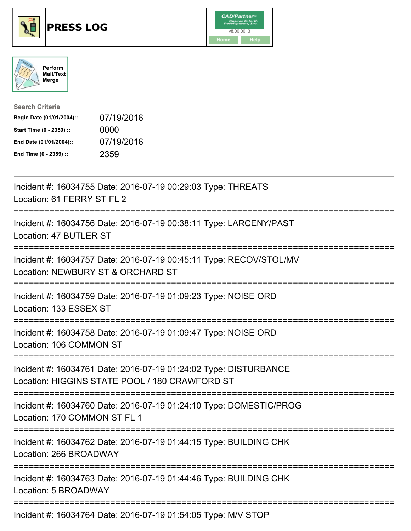





| <b>Search Criteria</b>    |            |
|---------------------------|------------|
| Begin Date (01/01/2004):: | 07/19/2016 |
| Start Time (0 - 2359) ::  | 0000       |
| End Date (01/01/2004)::   | 07/19/2016 |
| End Time (0 - 2359) ::    | 2359       |

| Incident #: 16034755 Date: 2016-07-19 00:29:03 Type: THREATS<br>Location: 61 FERRY ST FL 2                                                            |
|-------------------------------------------------------------------------------------------------------------------------------------------------------|
| Incident #: 16034756 Date: 2016-07-19 00:38:11 Type: LARCENY/PAST<br>Location: 47 BUTLER ST                                                           |
| Incident #: 16034757 Date: 2016-07-19 00:45:11 Type: RECOV/STOL/MV<br>Location: NEWBURY ST & ORCHARD ST                                               |
| Incident #: 16034759 Date: 2016-07-19 01:09:23 Type: NOISE ORD<br>Location: 133 ESSEX ST                                                              |
| Incident #: 16034758 Date: 2016-07-19 01:09:47 Type: NOISE ORD<br>Location: 106 COMMON ST                                                             |
| Incident #: 16034761 Date: 2016-07-19 01:24:02 Type: DISTURBANCE<br>Location: HIGGINS STATE POOL / 180 CRAWFORD ST<br>=============================== |
| Incident #: 16034760 Date: 2016-07-19 01:24:10 Type: DOMESTIC/PROG<br>Location: 170 COMMON ST FL 1<br>----------------------                          |
| Incident #: 16034762 Date: 2016-07-19 01:44:15 Type: BUILDING CHK<br>Location: 266 BROADWAY                                                           |
| Incident #: 16034763 Date: 2016-07-19 01:44:46 Type: BUILDING CHK<br>Location: 5 BROADWAY                                                             |
| Incident #: 16034764 Date: 2016-07-19 01:54:05 Type: M/V STOP                                                                                         |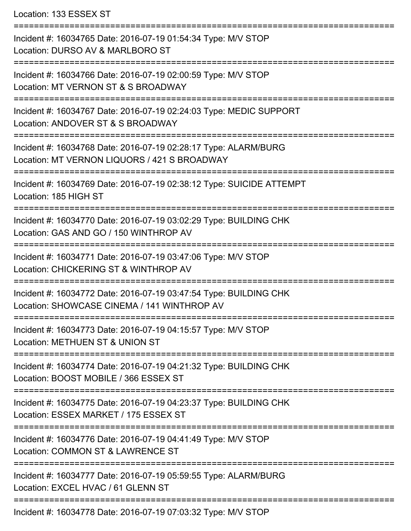Location: 133 ESSEX ST

=========================================================================== Incident #: 16034765 Date: 2016-07-19 01:54:34 Type: M/V STOP Location: DURSO AV & MARLBORO ST =========================================================================== Incident #: 16034766 Date: 2016-07-19 02:00:59 Type: M/V STOP Location: MT VERNON ST & S BROADWAY =========================================================================== Incident #: 16034767 Date: 2016-07-19 02:24:03 Type: MEDIC SUPPORT Location: ANDOVER ST & S BROADWAY =========================================================================== Incident #: 16034768 Date: 2016-07-19 02:28:17 Type: ALARM/BURG Location: MT VERNON LIQUORS / 421 S BROADWAY =========================================================================== Incident #: 16034769 Date: 2016-07-19 02:38:12 Type: SUICIDE ATTEMPT Location: 185 HIGH ST =========================================================================== Incident #: 16034770 Date: 2016-07-19 03:02:29 Type: BUILDING CHK Location: GAS AND GO / 150 WINTHROP AV =========================================================================== Incident #: 16034771 Date: 2016-07-19 03:47:06 Type: M/V STOP Location: CHICKERING ST & WINTHROP AV =========================================================================== Incident #: 16034772 Date: 2016-07-19 03:47:54 Type: BUILDING CHK Location: SHOWCASE CINEMA / 141 WINTHROP AV =========================================================================== Incident #: 16034773 Date: 2016-07-19 04:15:57 Type: M/V STOP Location: METHUEN ST & UNION ST =========================================================================== Incident #: 16034774 Date: 2016-07-19 04:21:32 Type: BUILDING CHK Location: BOOST MOBILE / 366 ESSEX ST =========================================================================== Incident #: 16034775 Date: 2016-07-19 04:23:37 Type: BUILDING CHK Location: ESSEX MARKET / 175 ESSEX ST =========================================================================== Incident #: 16034776 Date: 2016-07-19 04:41:49 Type: M/V STOP Location: COMMON ST & LAWRENCE ST =========================================================================== Incident #: 16034777 Date: 2016-07-19 05:59:55 Type: ALARM/BURG Location: EXCEL HVAC / 61 GLENN ST =========================================================================== Incident #: 16034778 Date: 2016-07-19 07:03:32 Type: M/V STOP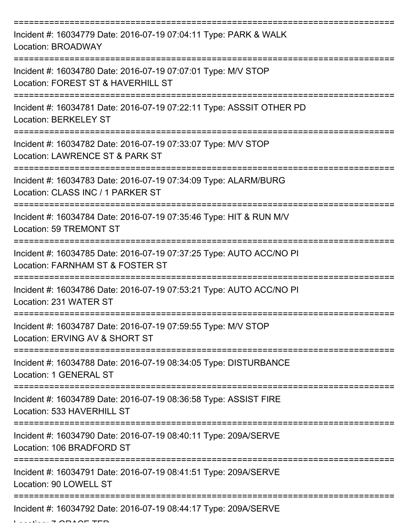| Incident #: 16034779 Date: 2016-07-19 07:04:11 Type: PARK & WALK<br>Location: BROADWAY                  |
|---------------------------------------------------------------------------------------------------------|
| Incident #: 16034780 Date: 2016-07-19 07:07:01 Type: M/V STOP<br>Location: FOREST ST & HAVERHILL ST     |
| Incident #: 16034781 Date: 2016-07-19 07:22:11 Type: ASSSIT OTHER PD<br><b>Location: BERKELEY ST</b>    |
| Incident #: 16034782 Date: 2016-07-19 07:33:07 Type: M/V STOP<br>Location: LAWRENCE ST & PARK ST        |
| Incident #: 16034783 Date: 2016-07-19 07:34:09 Type: ALARM/BURG<br>Location: CLASS INC / 1 PARKER ST    |
| Incident #: 16034784 Date: 2016-07-19 07:35:46 Type: HIT & RUN M/V<br>Location: 59 TREMONT ST           |
| Incident #: 16034785 Date: 2016-07-19 07:37:25 Type: AUTO ACC/NO PI<br>Location: FARNHAM ST & FOSTER ST |
| Incident #: 16034786 Date: 2016-07-19 07:53:21 Type: AUTO ACC/NO PI<br>Location: 231 WATER ST           |
| Incident #: 16034787 Date: 2016-07-19 07:59:55 Type: M/V STOP<br>Location: ERVING AV & SHORT ST         |
| Incident #: 16034788 Date: 2016-07-19 08:34:05 Type: DISTURBANCE<br><b>Location: 1 GENERAL ST</b>       |
| Incident #: 16034789 Date: 2016-07-19 08:36:58 Type: ASSIST FIRE<br>Location: 533 HAVERHILL ST          |
| Incident #: 16034790 Date: 2016-07-19 08:40:11 Type: 209A/SERVE<br>Location: 106 BRADFORD ST            |
| Incident #: 16034791 Date: 2016-07-19 08:41:51 Type: 209A/SERVE<br>Location: 90 LOWELL ST               |
| Incident #: 16034792 Date: 2016-07-19 08:44:17 Type: 209A/SERVE                                         |

 $L: L: \rightarrow \cap N \wedge \cap T$  TER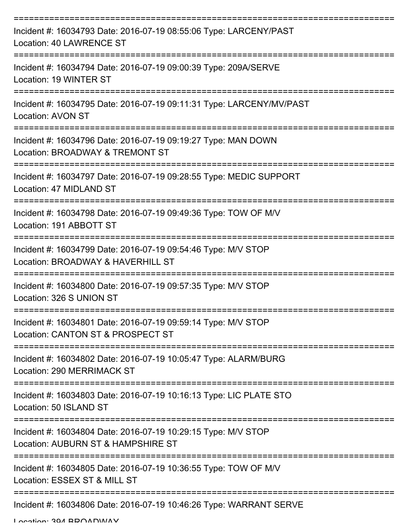| Incident #: 16034793 Date: 2016-07-19 08:55:06 Type: LARCENY/PAST<br>Location: 40 LAWRENCE ST       |
|-----------------------------------------------------------------------------------------------------|
| Incident #: 16034794 Date: 2016-07-19 09:00:39 Type: 209A/SERVE<br>Location: 19 WINTER ST           |
| Incident #: 16034795 Date: 2016-07-19 09:11:31 Type: LARCENY/MV/PAST<br><b>Location: AVON ST</b>    |
| Incident #: 16034796 Date: 2016-07-19 09:19:27 Type: MAN DOWN<br>Location: BROADWAY & TREMONT ST    |
| Incident #: 16034797 Date: 2016-07-19 09:28:55 Type: MEDIC SUPPORT<br>Location: 47 MIDLAND ST       |
| Incident #: 16034798 Date: 2016-07-19 09:49:36 Type: TOW OF M/V<br>Location: 191 ABBOTT ST          |
| Incident #: 16034799 Date: 2016-07-19 09:54:46 Type: M/V STOP<br>Location: BROADWAY & HAVERHILL ST  |
| Incident #: 16034800 Date: 2016-07-19 09:57:35 Type: M/V STOP<br>Location: 326 S UNION ST           |
| Incident #: 16034801 Date: 2016-07-19 09:59:14 Type: M/V STOP<br>Location: CANTON ST & PROSPECT ST  |
| Incident #: 16034802 Date: 2016-07-19 10:05:47 Type: ALARM/BURG<br>Location: 290 MERRIMACK ST       |
| Incident #: 16034803 Date: 2016-07-19 10:16:13 Type: LIC PLATE STO<br>Location: 50 ISLAND ST        |
| Incident #: 16034804 Date: 2016-07-19 10:29:15 Type: M/V STOP<br>Location: AUBURN ST & HAMPSHIRE ST |
| Incident #: 16034805 Date: 2016-07-19 10:36:55 Type: TOW OF M/V<br>Location: ESSEX ST & MILL ST     |
| Incident #: 16034806 Date: 2016-07-19 10:46:26 Type: WARRANT SERVE                                  |

Location: 394 BROADWAY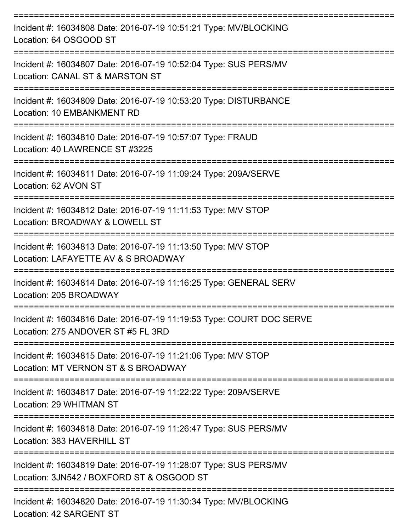| Incident #: 16034808 Date: 2016-07-19 10:51:21 Type: MV/BLOCKING<br>Location: 64 OSGOOD ST<br>------------------      |
|-----------------------------------------------------------------------------------------------------------------------|
| Incident #: 16034807 Date: 2016-07-19 10:52:04 Type: SUS PERS/MV<br>Location: CANAL ST & MARSTON ST<br>============== |
| Incident #: 16034809 Date: 2016-07-19 10:53:20 Type: DISTURBANCE<br>Location: 10 EMBANKMENT RD                        |
| Incident #: 16034810 Date: 2016-07-19 10:57:07 Type: FRAUD<br>Location: 40 LAWRENCE ST #3225                          |
| Incident #: 16034811 Date: 2016-07-19 11:09:24 Type: 209A/SERVE<br>Location: 62 AVON ST                               |
| Incident #: 16034812 Date: 2016-07-19 11:11:53 Type: M/V STOP<br>Location: BROADWAY & LOWELL ST                       |
| Incident #: 16034813 Date: 2016-07-19 11:13:50 Type: M/V STOP<br>Location: LAFAYETTE AV & S BROADWAY                  |
| Incident #: 16034814 Date: 2016-07-19 11:16:25 Type: GENERAL SERV<br>Location: 205 BROADWAY                           |
| Incident #: 16034816 Date: 2016-07-19 11:19:53 Type: COURT DOC SERVE<br>Location: 275 ANDOVER ST #5 FL 3RD            |
| Incident #: 16034815 Date: 2016-07-19 11:21:06 Type: M/V STOP<br>Location: MT VERNON ST & S BROADWAY                  |
| Incident #: 16034817 Date: 2016-07-19 11:22:22 Type: 209A/SERVE<br>Location: 29 WHITMAN ST                            |
| Incident #: 16034818 Date: 2016-07-19 11:26:47 Type: SUS PERS/MV<br>Location: 383 HAVERHILL ST                        |
| Incident #: 16034819 Date: 2016-07-19 11:28:07 Type: SUS PERS/MV<br>Location: 3JN542 / BOXFORD ST & OSGOOD ST         |
| Incident #: 16034820 Date: 2016-07-19 11:30:34 Type: MV/BLOCKING                                                      |

Location: 42 SARGENT ST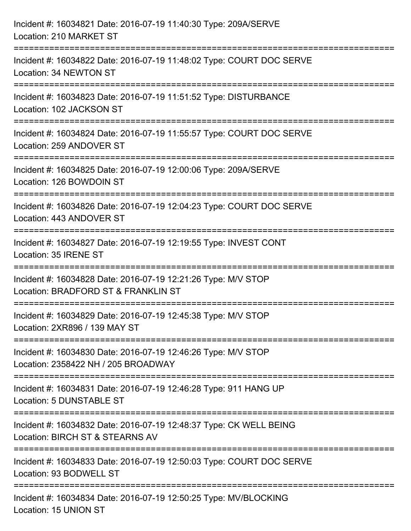| Incident #: 16034821 Date: 2016-07-19 11:40:30 Type: 209A/SERVE<br>Location: 210 MARKET ST                                 |
|----------------------------------------------------------------------------------------------------------------------------|
| :======================<br>Incident #: 16034822 Date: 2016-07-19 11:48:02 Type: COURT DOC SERVE<br>Location: 34 NEWTON ST  |
| Incident #: 16034823 Date: 2016-07-19 11:51:52 Type: DISTURBANCE<br>Location: 102 JACKSON ST                               |
| Incident #: 16034824 Date: 2016-07-19 11:55:57 Type: COURT DOC SERVE<br>Location: 259 ANDOVER ST                           |
| Incident #: 16034825 Date: 2016-07-19 12:00:06 Type: 209A/SERVE<br>Location: 126 BOWDOIN ST<br>--------------------------- |
| Incident #: 16034826 Date: 2016-07-19 12:04:23 Type: COURT DOC SERVE<br>Location: 443 ANDOVER ST                           |
| Incident #: 16034827 Date: 2016-07-19 12:19:55 Type: INVEST CONT<br>Location: 35 IRENE ST                                  |
| Incident #: 16034828 Date: 2016-07-19 12:21:26 Type: M/V STOP<br>Location: BRADFORD ST & FRANKLIN ST                       |
| Incident #: 16034829 Date: 2016-07-19 12:45:38 Type: M/V STOP<br>Location: 2XR896 / 139 MAY ST                             |
| Incident #: 16034830 Date: 2016-07-19 12:46:26 Type: M/V STOP<br>Location: 2358422 NH / 205 BROADWAY                       |
| Incident #: 16034831 Date: 2016-07-19 12:46:28 Type: 911 HANG UP<br>Location: 5 DUNSTABLE ST                               |
| Incident #: 16034832 Date: 2016-07-19 12:48:37 Type: CK WELL BEING<br>Location: BIRCH ST & STEARNS AV                      |
| Incident #: 16034833 Date: 2016-07-19 12:50:03 Type: COURT DOC SERVE<br>Location: 93 BODWELL ST                            |
| Incident #: 16034834 Date: 2016-07-19 12:50:25 Type: MV/BLOCKING<br>Location: 15 UNION ST                                  |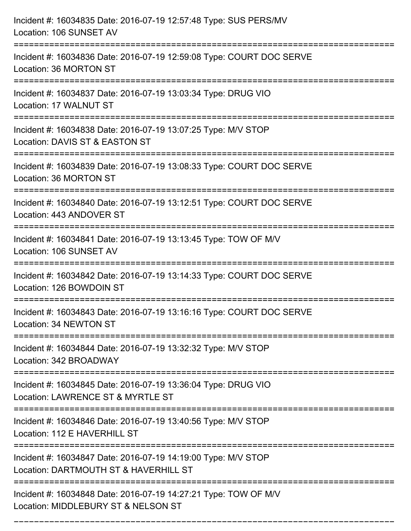| Incident #: 16034835 Date: 2016-07-19 12:57:48 Type: SUS PERS/MV<br>Location: 106 SUNSET AV                                       |
|-----------------------------------------------------------------------------------------------------------------------------------|
| Incident #: 16034836 Date: 2016-07-19 12:59:08 Type: COURT DOC SERVE<br>Location: 36 MORTON ST                                    |
| Incident #: 16034837 Date: 2016-07-19 13:03:34 Type: DRUG VIO<br>Location: 17 WALNUT ST                                           |
| Incident #: 16034838 Date: 2016-07-19 13:07:25 Type: M/V STOP<br>Location: DAVIS ST & EASTON ST                                   |
| Incident #: 16034839 Date: 2016-07-19 13:08:33 Type: COURT DOC SERVE<br>Location: 36 MORTON ST                                    |
| Incident #: 16034840 Date: 2016-07-19 13:12:51 Type: COURT DOC SERVE<br>Location: 443 ANDOVER ST                                  |
| Incident #: 16034841 Date: 2016-07-19 13:13:45 Type: TOW OF M/V<br>Location: 106 SUNSET AV                                        |
| Incident #: 16034842 Date: 2016-07-19 13:14:33 Type: COURT DOC SERVE<br>Location: 126 BOWDOIN ST                                  |
| Incident #: 16034843 Date: 2016-07-19 13:16:16 Type: COURT DOC SERVE<br>Location: 34 NEWTON ST                                    |
| Incident #: 16034844 Date: 2016-07-19 13:32:32 Type: M/V STOP<br>Location: 342 BROADWAY                                           |
| Incident #: 16034845 Date: 2016-07-19 13:36:04 Type: DRUG VIO<br>Location: LAWRENCE ST & MYRTLE ST                                |
| Incident #: 16034846 Date: 2016-07-19 13:40:56 Type: M/V STOP<br>Location: 112 E HAVERHILL ST<br>================================ |
| Incident #: 16034847 Date: 2016-07-19 14:19:00 Type: M/V STOP<br>Location: DARTMOUTH ST & HAVERHILL ST                            |
| Incident #: 16034848 Date: 2016-07-19 14:27:21 Type: TOW OF M/V<br>Location: MIDDLEBURY ST & NELSON ST                            |

===========================================================================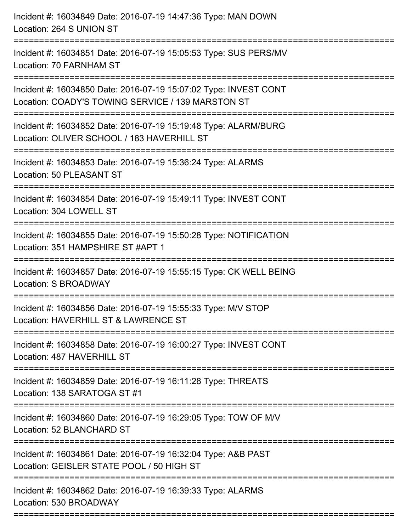| Incident #: 16034849 Date: 2016-07-19 14:47:36 Type: MAN DOWN<br>Location: 264 S UNION ST                             |
|-----------------------------------------------------------------------------------------------------------------------|
| Incident #: 16034851 Date: 2016-07-19 15:05:53 Type: SUS PERS/MV<br>Location: 70 FARNHAM ST                           |
| Incident #: 16034850 Date: 2016-07-19 15:07:02 Type: INVEST CONT<br>Location: COADY'S TOWING SERVICE / 139 MARSTON ST |
| Incident #: 16034852 Date: 2016-07-19 15:19:48 Type: ALARM/BURG<br>Location: OLIVER SCHOOL / 183 HAVERHILL ST         |
| Incident #: 16034853 Date: 2016-07-19 15:36:24 Type: ALARMS<br>Location: 50 PLEASANT ST                               |
| Incident #: 16034854 Date: 2016-07-19 15:49:11 Type: INVEST CONT<br>Location: 304 LOWELL ST                           |
| Incident #: 16034855 Date: 2016-07-19 15:50:28 Type: NOTIFICATION<br>Location: 351 HAMPSHIRE ST #APT 1                |
| Incident #: 16034857 Date: 2016-07-19 15:55:15 Type: CK WELL BEING<br>Location: S BROADWAY                            |
| Incident #: 16034856 Date: 2016-07-19 15:55:33 Type: M/V STOP<br>Location: HAVERHILL ST & LAWRENCE ST                 |
| Incident #: 16034858 Date: 2016-07-19 16:00:27 Type: INVEST CONT<br>Location: 487 HAVERHILL ST                        |
| Incident #: 16034859 Date: 2016-07-19 16:11:28 Type: THREATS<br>Location: 138 SARATOGA ST #1                          |
| Incident #: 16034860 Date: 2016-07-19 16:29:05 Type: TOW OF M/V<br>Location: 52 BLANCHARD ST                          |
| Incident #: 16034861 Date: 2016-07-19 16:32:04 Type: A&B PAST<br>Location: GEISLER STATE POOL / 50 HIGH ST            |
| Incident #: 16034862 Date: 2016-07-19 16:39:33 Type: ALARMS<br>Location: 530 BROADWAY                                 |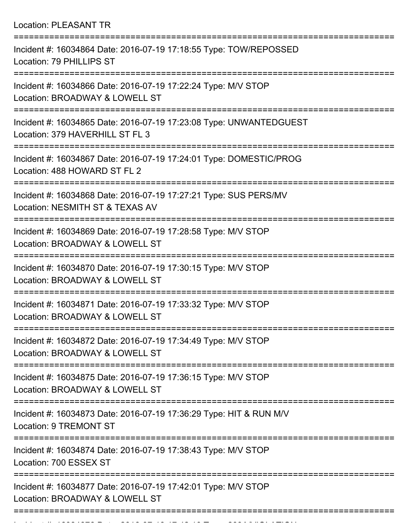Location: PLEASANT TR

| Incident #: 16034864 Date: 2016-07-19 17:18:55 Type: TOW/REPOSSED<br>Location: 79 PHILLIPS ST                        |
|----------------------------------------------------------------------------------------------------------------------|
| Incident #: 16034866 Date: 2016-07-19 17:22:24 Type: M/V STOP<br>Location: BROADWAY & LOWELL ST                      |
| Incident #: 16034865 Date: 2016-07-19 17:23:08 Type: UNWANTEDGUEST<br>Location: 379 HAVERHILL ST FL 3                |
| Incident #: 16034867 Date: 2016-07-19 17:24:01 Type: DOMESTIC/PROG<br>Location: 488 HOWARD ST FL 2                   |
| Incident #: 16034868 Date: 2016-07-19 17:27:21 Type: SUS PERS/MV<br>Location: NESMITH ST & TEXAS AV                  |
| Incident #: 16034869 Date: 2016-07-19 17:28:58 Type: M/V STOP<br>Location: BROADWAY & LOWELL ST                      |
| Incident #: 16034870 Date: 2016-07-19 17:30:15 Type: M/V STOP<br>Location: BROADWAY & LOWELL ST                      |
| Incident #: 16034871 Date: 2016-07-19 17:33:32 Type: M/V STOP<br>Location: BROADWAY & LOWELL ST                      |
| =================<br>Incident #: 16034872 Date: 2016-07-19 17:34:49 Type: M/V STOP<br>Location: BROADWAY & LOWELL ST |
| Incident #: 16034875 Date: 2016-07-19 17:36:15 Type: M/V STOP<br>Location: BROADWAY & LOWELL ST                      |
| Incident #: 16034873 Date: 2016-07-19 17:36:29 Type: HIT & RUN M/V<br><b>Location: 9 TREMONT ST</b>                  |
| Incident #: 16034874 Date: 2016-07-19 17:38:43 Type: M/V STOP<br>Location: 700 ESSEX ST                              |
| Incident #: 16034877 Date: 2016-07-19 17:42:01 Type: M/V STOP<br>Location: BROADWAY & LOWELL ST                      |
|                                                                                                                      |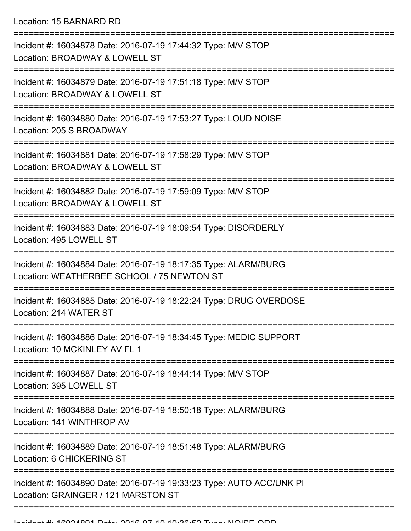Location: 15 BARNARD RD

| Incident #: 16034878 Date: 2016-07-19 17:44:32 Type: M/V STOP<br>Location: BROADWAY & LOWELL ST               |
|---------------------------------------------------------------------------------------------------------------|
| Incident #: 16034879 Date: 2016-07-19 17:51:18 Type: M/V STOP<br>Location: BROADWAY & LOWELL ST               |
| Incident #: 16034880 Date: 2016-07-19 17:53:27 Type: LOUD NOISE<br>Location: 205 S BROADWAY                   |
| Incident #: 16034881 Date: 2016-07-19 17:58:29 Type: M/V STOP<br>Location: BROADWAY & LOWELL ST               |
| Incident #: 16034882 Date: 2016-07-19 17:59:09 Type: M/V STOP<br>Location: BROADWAY & LOWELL ST               |
| Incident #: 16034883 Date: 2016-07-19 18:09:54 Type: DISORDERLY<br>Location: 495 LOWELL ST                    |
| Incident #: 16034884 Date: 2016-07-19 18:17:35 Type: ALARM/BURG<br>Location: WEATHERBEE SCHOOL / 75 NEWTON ST |
| Incident #: 16034885 Date: 2016-07-19 18:22:24 Type: DRUG OVERDOSE<br>Location: 214 WATER ST                  |
| Incident #: 16034886 Date: 2016-07-19 18:34:45 Type: MEDIC SUPPORT<br>Location: 10 MCKINLEY AV FL 1           |
| Incident #: 16034887 Date: 2016-07-19 18:44:14 Type: M/V STOP<br>Location: 395 LOWELL ST                      |
| Incident #: 16034888 Date: 2016-07-19 18:50:18 Type: ALARM/BURG<br>Location: 141 WINTHROP AV                  |
| Incident #: 16034889 Date: 2016-07-19 18:51:48 Type: ALARM/BURG<br>Location: 6 CHICKERING ST                  |
| Incident #: 16034890 Date: 2016-07-19 19:33:23 Type: AUTO ACC/UNK PI<br>Location: GRAINGER / 121 MARSTON ST   |
|                                                                                                               |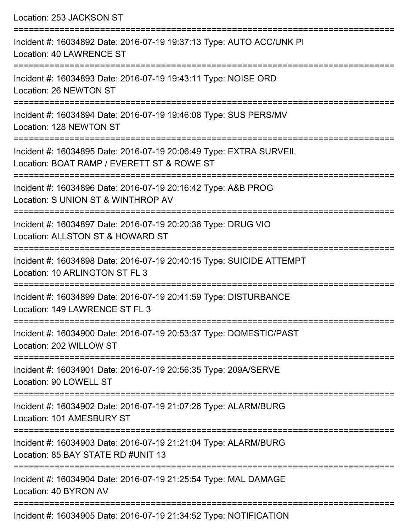| Location: 253 JACKSON ST                                                                                                                   |
|--------------------------------------------------------------------------------------------------------------------------------------------|
| Incident #: 16034892 Date: 2016-07-19 19:37:13 Type: AUTO ACC/UNK PI<br>Location: 40 LAWRENCE ST<br>:===================================== |
| Incident #: 16034893 Date: 2016-07-19 19:43:11 Type: NOISE ORD<br>Location: 26 NEWTON ST                                                   |
| Incident #: 16034894 Date: 2016-07-19 19:46:08 Type: SUS PERS/MV<br>Location: 128 NEWTON ST                                                |
| Incident #: 16034895 Date: 2016-07-19 20:06:49 Type: EXTRA SURVEIL<br>Location: BOAT RAMP / EVERETT ST & ROWE ST                           |
| Incident #: 16034896 Date: 2016-07-19 20:16:42 Type: A&B PROG<br>Location: S UNION ST & WINTHROP AV                                        |
| .====================<br>Incident #: 16034897 Date: 2016-07-19 20:20:36 Type: DRUG VIO<br>Location: ALLSTON ST & HOWARD ST                 |
| Incident #: 16034898 Date: 2016-07-19 20:40:15 Type: SUICIDE ATTEMPT<br>Location: 10 ARLINGTON ST FL 3                                     |
| Incident #: 16034899 Date: 2016-07-19 20:41:59 Type: DISTURBANCE<br>Location: 149 LAWRENCE ST FL 3                                         |
| Incident #: 16034900 Date: 2016-07-19 20:53:37 Type: DOMESTIC/PAST<br>Location: 202 WILLOW ST                                              |
| Incident #: 16034901 Date: 2016-07-19 20:56:35 Type: 209A/SERVE<br>Location: 90 LOWELL ST                                                  |
| Incident #: 16034902 Date: 2016-07-19 21:07:26 Type: ALARM/BURG<br>Location: 101 AMESBURY ST                                               |
| Incident #: 16034903 Date: 2016-07-19 21:21:04 Type: ALARM/BURG<br>Location: 85 BAY STATE RD #UNIT 13                                      |
| Incident #: 16034904 Date: 2016-07-19 21:25:54 Type: MAL DAMAGE<br>Location: 40 BYRON AV                                                   |
|                                                                                                                                            |

Incident #: 16034905 Date: 2016-07-19 21:34:52 Type: NOTIFICATION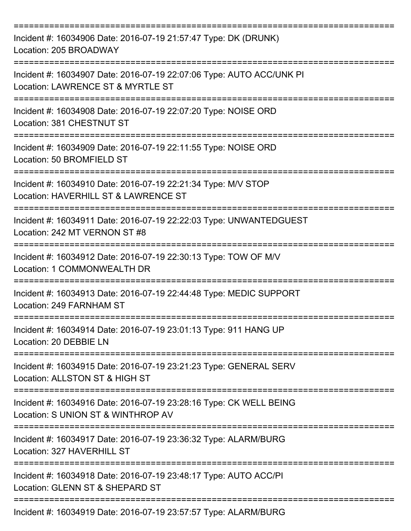| Incident #: 16034906 Date: 2016-07-19 21:57:47 Type: DK (DRUNK)<br>Location: 205 BROADWAY<br>:=================================== |
|-----------------------------------------------------------------------------------------------------------------------------------|
| Incident #: 16034907 Date: 2016-07-19 22:07:06 Type: AUTO ACC/UNK PI<br>Location: LAWRENCE ST & MYRTLE ST<br>-----------------    |
| Incident #: 16034908 Date: 2016-07-19 22:07:20 Type: NOISE ORD<br>Location: 381 CHESTNUT ST                                       |
| Incident #: 16034909 Date: 2016-07-19 22:11:55 Type: NOISE ORD<br>Location: 50 BROMFIELD ST                                       |
| Incident #: 16034910 Date: 2016-07-19 22:21:34 Type: M/V STOP<br>Location: HAVERHILL ST & LAWRENCE ST                             |
| Incident #: 16034911 Date: 2016-07-19 22:22:03 Type: UNWANTEDGUEST<br>Location: 242 MT VERNON ST #8                               |
| Incident #: 16034912 Date: 2016-07-19 22:30:13 Type: TOW OF M/V<br>Location: 1 COMMONWEALTH DR                                    |
| Incident #: 16034913 Date: 2016-07-19 22:44:48 Type: MEDIC SUPPORT<br>Location: 249 FARNHAM ST                                    |
| Incident #: 16034914 Date: 2016-07-19 23:01:13 Type: 911 HANG UP<br>Location: 20 DEBBIE LN                                        |
| Incident #: 16034915 Date: 2016-07-19 23:21:23 Type: GENERAL SERV<br>Location: ALLSTON ST & HIGH ST                               |
| Incident #: 16034916 Date: 2016-07-19 23:28:16 Type: CK WELL BEING<br>Location: S UNION ST & WINTHROP AV                          |
| Incident #: 16034917 Date: 2016-07-19 23:36:32 Type: ALARM/BURG<br>Location: 327 HAVERHILL ST                                     |
| Incident #: 16034918 Date: 2016-07-19 23:48:17 Type: AUTO ACC/PI<br>Location: GLENN ST & SHEPARD ST                               |
| Incident #: 16034919 Date: 2016-07-19 23:57:57 Type: ALARM/BURG                                                                   |